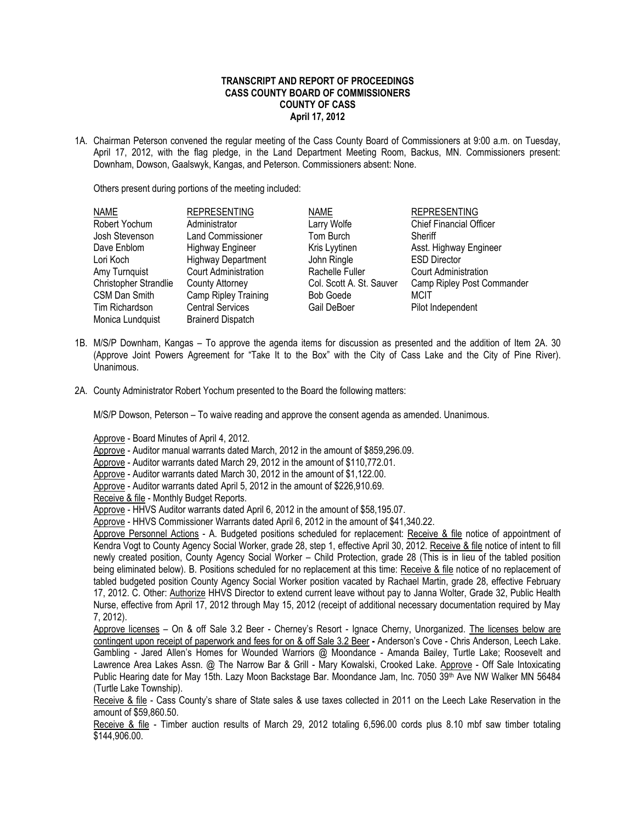## **TRANSCRIPT AND REPORT OF PROCEEDINGS CASS COUNTY BOARD OF COMMISSIONERS COUNTY OF CASS April 17, 2012**

1A. Chairman Peterson convened the regular meeting of the Cass County Board of Commissioners at 9:00 a.m. on Tuesday, April 17, 2012, with the flag pledge, in the Land Department Meeting Room, Backus, MN. Commissioners present: Downham, Dowson, Gaalswyk, Kangas, and Peterson. Commissioners absent: None.

Others present during portions of the meeting included:

| <b>NAME</b>                  | <b>REPRESENTING</b>         | <b>NAME</b>              | <b>REPRESENTING</b>            |
|------------------------------|-----------------------------|--------------------------|--------------------------------|
| Robert Yochum                | Administrator               | Larry Wolfe              | <b>Chief Financial Officer</b> |
| Josh Stevenson               | <b>Land Commissioner</b>    | Tom Burch                | Sheriff                        |
| Dave Enblom                  | <b>Highway Engineer</b>     | Kris Lyytinen            | Asst. Highway Engineer         |
| Lori Koch                    | <b>Highway Department</b>   | John Ringle              | <b>ESD Director</b>            |
| Amy Turnquist                | <b>Court Administration</b> | Rachelle Fuller          | <b>Court Administration</b>    |
| <b>Christopher Strandlie</b> | County Attorney             | Col. Scott A. St. Sauver | Camp Ripley Post Commander     |
| CSM Dan Smith                | Camp Ripley Training        | <b>Bob Goede</b>         | <b>MCIT</b>                    |
| Tim Richardson               | <b>Central Services</b>     | Gail DeBoer              | Pilot Independent              |
| Monica Lundquist             | <b>Brainerd Dispatch</b>    |                          |                                |

- 1B. M/S/P Downham, Kangas To approve the agenda items for discussion as presented and the addition of Item 2A. 30 (Approve Joint Powers Agreement for "Take It to the Box" with the City of Cass Lake and the City of Pine River). Unanimous.
- 2A. County Administrator Robert Yochum presented to the Board the following matters:

M/S/P Dowson, Peterson – To waive reading and approve the consent agenda as amended. Unanimous.

Approve - Board Minutes of April 4, 2012.

Approve - Auditor manual warrants dated March, 2012 in the amount of \$859,296.09.

Approve - Auditor warrants dated March 29, 2012 in the amount of \$110,772.01.

Approve - Auditor warrants dated March 30, 2012 in the amount of \$1,122.00.

Approve - Auditor warrants dated April 5, 2012 in the amount of \$226,910.69.

Receive & file - Monthly Budget Reports.

Approve - HHVS Auditor warrants dated April 6, 2012 in the amount of \$58,195.07.

Approve - HHVS Commissioner Warrants dated April 6, 2012 in the amount of \$41,340.22.

Approve Personnel Actions - A. Budgeted positions scheduled for replacement: Receive & file notice of appointment of Kendra Vogt to County Agency Social Worker, grade 28, step 1, effective April 30, 2012. Receive & file notice of intent to fill newly created position, County Agency Social Worker – Child Protection, grade 28 (This is in lieu of the tabled position being eliminated below). B. Positions scheduled for no replacement at this time: Receive & file notice of no replacement of tabled budgeted position County Agency Social Worker position vacated by Rachael Martin, grade 28, effective February 17, 2012. C. Other: Authorize HHVS Director to extend current leave without pay to Janna Wolter, Grade 32, Public Health Nurse, effective from April 17, 2012 through May 15, 2012 (receipt of additional necessary documentation required by May 7, 2012).

Approve licenses – On & off Sale 3.2 Beer - Cherney's Resort - Ignace Cherny, Unorganized. The licenses below are contingent upon receipt of paperwork and fees for on & off Sale 3.2 Beer **-** Anderson's Cove - Chris Anderson, Leech Lake. Gambling - Jared Allen's Homes for Wounded Warriors @ Moondance - Amanda Bailey, Turtle Lake; Roosevelt and Lawrence Area Lakes Assn. @ The Narrow Bar & Grill - Mary Kowalski, Crooked Lake. Approve - Off Sale Intoxicating Public Hearing date for May 15th. Lazy Moon Backstage Bar. Moondance Jam, Inc. 7050 39th Ave NW Walker MN 56484 (Turtle Lake Township).

Receive & file - Cass County's share of State sales & use taxes collected in 2011 on the Leech Lake Reservation in the amount of \$59,860.50.

Receive & file - Timber auction results of March 29, 2012 totaling 6,596.00 cords plus 8.10 mbf saw timber totaling \$144,906.00.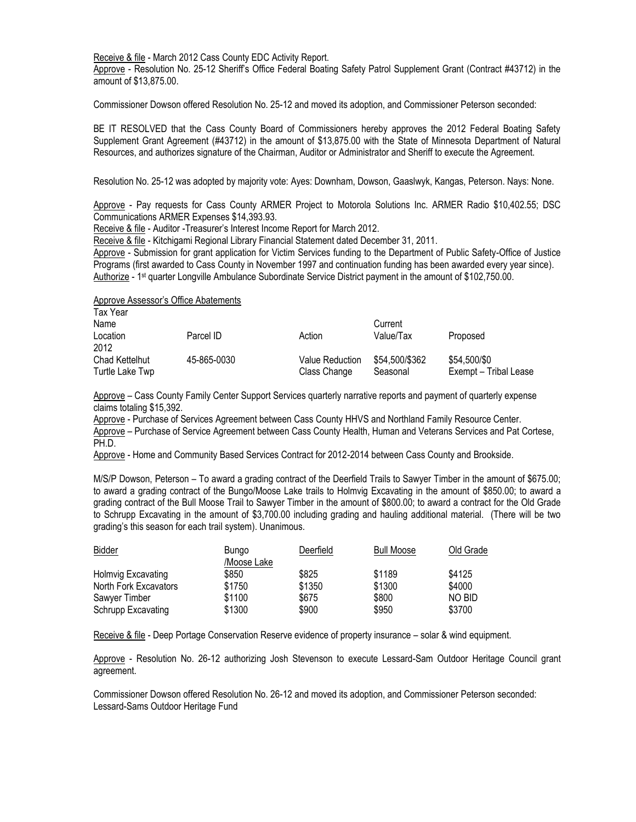Receive & file - March 2012 Cass County EDC Activity Report.

Approve - Resolution No. 25-12 Sheriff's Office Federal Boating Safety Patrol Supplement Grant (Contract #43712) in the amount of \$13,875.00.

Commissioner Dowson offered Resolution No. 25-12 and moved its adoption, and Commissioner Peterson seconded:

BE IT RESOLVED that the Cass County Board of Commissioners hereby approves the 2012 Federal Boating Safety Supplement Grant Agreement (#43712) in the amount of \$13,875.00 with the State of Minnesota Department of Natural Resources, and authorizes signature of the Chairman, Auditor or Administrator and Sheriff to execute the Agreement.

Resolution No. 25-12 was adopted by majority vote: Ayes: Downham, Dowson, Gaaslwyk, Kangas, Peterson. Nays: None.

Approve - Pay requests for Cass County ARMER Project to Motorola Solutions Inc. ARMER Radio \$10,402.55; DSC Communications ARMER Expenses \$14,393.93.

Receive & file - Auditor -Treasurer's Interest Income Report for March 2012.

Receive & file - Kitchigami Regional Library Financial Statement dated December 31, 2011.

Approve - Submission for grant application for Victim Services funding to the Department of Public Safety-Office of Justice Programs (first awarded to Cass County in November 1997 and continuation funding has been awarded every year since). Authorize - 1st quarter Longville Ambulance Subordinate Service District payment in the amount of \$102,750.00.

Approve Assessor's Office Abatements

| Tax Year<br>Name                  |             |                                 | Current                    |                                       |
|-----------------------------------|-------------|---------------------------------|----------------------------|---------------------------------------|
| Location<br>2012                  | Parcel ID   | Action                          | Value/Tax                  | Proposed                              |
| Chad Kettelhut<br>Turtle Lake Twp | 45-865-0030 | Value Reduction<br>Class Change | \$54.500/\$362<br>Seasonal | \$54,500/\$0<br>Exempt - Tribal Lease |

Approve – Cass County Family Center Support Services quarterly narrative reports and payment of quarterly expense claims totaling \$15,392.

Approve - Purchase of Services Agreement between Cass County HHVS and Northland Family Resource Center. Approve – Purchase of Service Agreement between Cass County Health, Human and Veterans Services and Pat Cortese, PH.D.

Approve - Home and Community Based Services Contract for 2012-2014 between Cass County and Brookside.

M/S/P Dowson, Peterson – To award a grading contract of the Deerfield Trails to Sawyer Timber in the amount of \$675.00; to award a grading contract of the Bungo/Moose Lake trails to Holmvig Excavating in the amount of \$850.00; to award a grading contract of the Bull Moose Trail to Sawyer Timber in the amount of \$800.00; to award a contract for the Old Grade to Schrupp Excavating in the amount of \$3,700.00 including grading and hauling additional material. (There will be two grading's this season for each trail system). Unanimous.

| <b>Bidder</b>         | Bungo       | Deerfield | <b>Bull Moose</b> | Old Grade |
|-----------------------|-------------|-----------|-------------------|-----------|
|                       | /Moose Lake |           |                   |           |
| Holmvig Excavating    | \$850       | \$825     | \$1189            | \$4125    |
| North Fork Excavators | \$1750      | \$1350    | \$1300            | \$4000    |
| Sawyer Timber         | \$1100      | \$675     | \$800             | NO BID    |
| Schrupp Excavating    | \$1300      | \$900     | \$950             | \$3700    |

Receive & file - Deep Portage Conservation Reserve evidence of property insurance – solar & wind equipment.

Approve - Resolution No. 26-12 authorizing Josh Stevenson to execute Lessard-Sam Outdoor Heritage Council grant agreement.

Commissioner Dowson offered Resolution No. 26-12 and moved its adoption, and Commissioner Peterson seconded: Lessard-Sams Outdoor Heritage Fund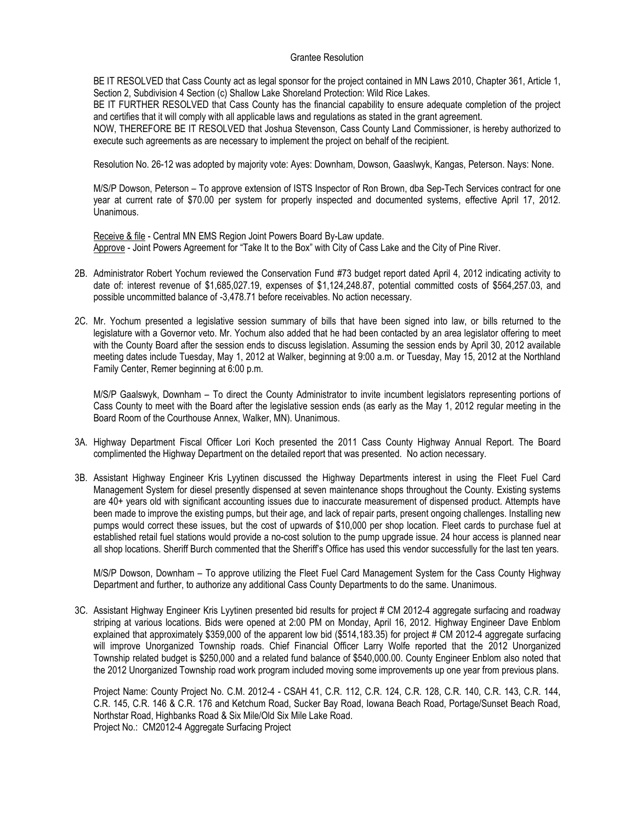## Grantee Resolution

BE IT RESOLVED that Cass County act as legal sponsor for the project contained in MN Laws 2010, Chapter 361, Article 1, Section 2, Subdivision 4 Section (c) Shallow Lake Shoreland Protection: Wild Rice Lakes.

BE IT FURTHER RESOLVED that Cass County has the financial capability to ensure adequate completion of the project and certifies that it will comply with all applicable laws and regulations as stated in the grant agreement.

NOW, THEREFORE BE IT RESOLVED that Joshua Stevenson, Cass County Land Commissioner, is hereby authorized to execute such agreements as are necessary to implement the project on behalf of the recipient.

Resolution No. 26-12 was adopted by majority vote: Ayes: Downham, Dowson, Gaaslwyk, Kangas, Peterson. Nays: None.

M/S/P Dowson, Peterson – To approve extension of ISTS Inspector of Ron Brown, dba Sep-Tech Services contract for one year at current rate of \$70.00 per system for properly inspected and documented systems, effective April 17, 2012. Unanimous.

Receive & file - Central MN EMS Region Joint Powers Board By-Law update. Approve - Joint Powers Agreement for "Take It to the Box" with City of Cass Lake and the City of Pine River.

- 2B. Administrator Robert Yochum reviewed the Conservation Fund #73 budget report dated April 4, 2012 indicating activity to date of: interest revenue of \$1,685,027.19, expenses of \$1,124,248.87, potential committed costs of \$564,257.03, and possible uncommitted balance of -3,478.71 before receivables. No action necessary.
- 2C. Mr. Yochum presented a legislative session summary of bills that have been signed into law, or bills returned to the legislature with a Governor veto. Mr. Yochum also added that he had been contacted by an area legislator offering to meet with the County Board after the session ends to discuss legislation. Assuming the session ends by April 30, 2012 available meeting dates include Tuesday, May 1, 2012 at Walker, beginning at 9:00 a.m. or Tuesday, May 15, 2012 at the Northland Family Center, Remer beginning at 6:00 p.m.

M/S/P Gaalswyk, Downham – To direct the County Administrator to invite incumbent legislators representing portions of Cass County to meet with the Board after the legislative session ends (as early as the May 1, 2012 regular meeting in the Board Room of the Courthouse Annex, Walker, MN). Unanimous.

- 3A. Highway Department Fiscal Officer Lori Koch presented the 2011 Cass County Highway Annual Report. The Board complimented the Highway Department on the detailed report that was presented. No action necessary.
- 3B. Assistant Highway Engineer Kris Lyytinen discussed the Highway Departments interest in using the Fleet Fuel Card Management System for diesel presently dispensed at seven maintenance shops throughout the County. Existing systems are 40+ years old with significant accounting issues due to inaccurate measurement of dispensed product. Attempts have been made to improve the existing pumps, but their age, and lack of repair parts, present ongoing challenges. Installing new pumps would correct these issues, but the cost of upwards of \$10,000 per shop location. Fleet cards to purchase fuel at established retail fuel stations would provide a no-cost solution to the pump upgrade issue. 24 hour access is planned near all shop locations. Sheriff Burch commented that the Sheriff's Office has used this vendor successfully for the last ten years.

M/S/P Dowson, Downham – To approve utilizing the Fleet Fuel Card Management System for the Cass County Highway Department and further, to authorize any additional Cass County Departments to do the same. Unanimous.

3C. Assistant Highway Engineer Kris Lyytinen presented bid results for project # CM 2012-4 aggregate surfacing and roadway striping at various locations. Bids were opened at 2:00 PM on Monday, April 16, 2012. Highway Engineer Dave Enblom explained that approximately \$359,000 of the apparent low bid (\$514,183.35) for project # CM 2012-4 aggregate surfacing will improve Unorganized Township roads. Chief Financial Officer Larry Wolfe reported that the 2012 Unorganized Township related budget is \$250,000 and a related fund balance of \$540,000.00. County Engineer Enblom also noted that the 2012 Unorganized Township road work program included moving some improvements up one year from previous plans.

Project Name: County Project No. C.M. 2012-4 - CSAH 41, C.R. 112, C.R. 124, C.R. 128, C.R. 140, C.R. 143, C.R. 144, C.R. 145, C.R. 146 & C.R. 176 and Ketchum Road, Sucker Bay Road, Iowana Beach Road, Portage/Sunset Beach Road, Northstar Road, Highbanks Road & Six Mile/Old Six Mile Lake Road. Project No.: CM2012-4 Aggregate Surfacing Project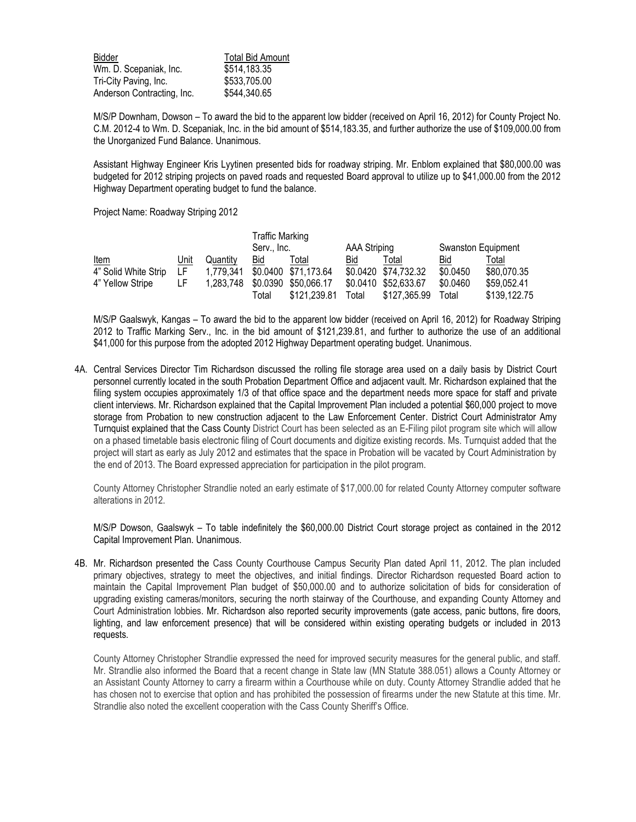| Bidder                     | <b>Total Bid Amount</b> |  |  |  |
|----------------------------|-------------------------|--|--|--|
| Wm. D. Scepaniak, Inc.     | \$514,183.35            |  |  |  |
| Tri-City Paving, Inc.      | \$533,705.00            |  |  |  |
| Anderson Contracting, Inc. | \$544,340.65            |  |  |  |

M/S/P Downham, Dowson – To award the bid to the apparent low bidder (received on April 16, 2012) for County Project No. C.M. 2012-4 to Wm. D. Scepaniak, Inc. in the bid amount of \$514,183.35, and further authorize the use of \$109,000.00 from the Unorganized Fund Balance. Unanimous.

Assistant Highway Engineer Kris Lyytinen presented bids for roadway striping. Mr. Enblom explained that \$80,000.00 was budgeted for 2012 striping projects on paved roads and requested Board approval to utilize up to \$41,000.00 from the 2012 Highway Department operating budget to fund the balance.

Project Name: Roadway Striping 2012

|                      |      |           | <b>Traffic Marking</b><br>Serv Inc. |                      | AAA Striping |                      | Swanston Equipment |              |
|----------------------|------|-----------|-------------------------------------|----------------------|--------------|----------------------|--------------------|--------------|
| <b>Item</b>          | Unit | Quantity  | Bid                                 | Total                | Bid          | Total                | Bid                | Total        |
|                      |      |           |                                     |                      |              |                      |                    |              |
| 4" Solid White Strip | LF.  | 1.779.341 |                                     | \$0.0400 \$71,173.64 |              | \$0.0420 \$74,732.32 | \$0.0450           | \$80,070.35  |
| 4" Yellow Stripe     | LF.  | 1,283,748 |                                     | \$0.0390 \$50,066.17 |              | \$0.0410 \$52,633.67 | \$0.0460           | \$59,052.41  |
|                      |      |           | Total                               | \$121,239.81         | Total        | \$127,365.99         | Total              | \$139,122.75 |

M/S/P Gaalswyk, Kangas – To award the bid to the apparent low bidder (received on April 16, 2012) for Roadway Striping 2012 to Traffic Marking Serv., Inc. in the bid amount of \$121,239.81, and further to authorize the use of an additional \$41,000 for this purpose from the adopted 2012 Highway Department operating budget. Unanimous.

4A. Central Services Director Tim Richardson discussed the rolling file storage area used on a daily basis by District Court personnel currently located in the south Probation Department Office and adjacent vault. Mr. Richardson explained that the filing system occupies approximately 1/3 of that office space and the department needs more space for staff and private client interviews. Mr. Richardson explained that the Capital Improvement Plan included a potential \$60,000 project to move storage from Probation to new construction adjacent to the Law Enforcement Center. District Court Administrator Amy Turnquist explained that the Cass County District Court has been selected as an E-Filing pilot program site which will allow on a phased timetable basis electronic filing of Court documents and digitize existing records. Ms. Turnquist added that the project will start as early as July 2012 and estimates that the space in Probation will be vacated by Court Administration by the end of 2013. The Board expressed appreciation for participation in the pilot program.

County Attorney Christopher Strandlie noted an early estimate of \$17,000.00 for related County Attorney computer software alterations in 2012.

M/S/P Dowson, Gaalswyk – To table indefinitely the \$60,000.00 District Court storage project as contained in the 2012 Capital Improvement Plan. Unanimous.

4B. Mr. Richardson presented the Cass County Courthouse Campus Security Plan dated April 11, 2012. The plan included primary objectives, strategy to meet the objectives, and initial findings. Director Richardson requested Board action to maintain the Capital Improvement Plan budget of \$50,000.00 and to authorize solicitation of bids for consideration of upgrading existing cameras/monitors, securing the north stairway of the Courthouse, and expanding County Attorney and Court Administration lobbies. Mr. Richardson also reported security improvements (gate access, panic buttons, fire doors, lighting, and law enforcement presence) that will be considered within existing operating budgets or included in 2013 requests.

County Attorney Christopher Strandlie expressed the need for improved security measures for the general public, and staff. Mr. Strandlie also informed the Board that a recent change in State law (MN Statute 388.051) allows a County Attorney or an Assistant County Attorney to carry a firearm within a Courthouse while on duty. County Attorney Strandlie added that he has chosen not to exercise that option and has prohibited the possession of firearms under the new Statute at this time. Mr. Strandlie also noted the excellent cooperation with the Cass County Sheriff's Office.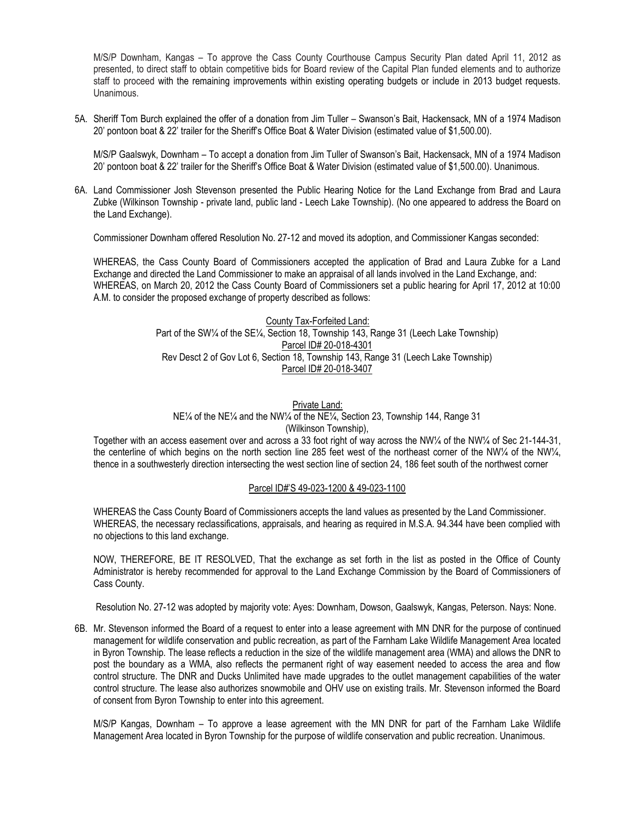M/S/P Downham, Kangas – To approve the Cass County Courthouse Campus Security Plan dated April 11, 2012 as presented, to direct staff to obtain competitive bids for Board review of the Capital Plan funded elements and to authorize staff to proceed with the remaining improvements within existing operating budgets or include in 2013 budget requests. Unanimous.

5A. Sheriff Tom Burch explained the offer of a donation from Jim Tuller – Swanson's Bait, Hackensack, MN of a 1974 Madison 20' pontoon boat & 22' trailer for the Sheriff's Office Boat & Water Division (estimated value of \$1,500.00).

M/S/P Gaalswyk, Downham – To accept a donation from Jim Tuller of Swanson's Bait, Hackensack, MN of a 1974 Madison 20' pontoon boat & 22' trailer for the Sheriff's Office Boat & Water Division (estimated value of \$1,500.00). Unanimous.

6A. Land Commissioner Josh Stevenson presented the Public Hearing Notice for the Land Exchange from Brad and Laura Zubke (Wilkinson Township - private land, public land - Leech Lake Township). (No one appeared to address the Board on the Land Exchange).

Commissioner Downham offered Resolution No. 27-12 and moved its adoption, and Commissioner Kangas seconded:

WHEREAS, the Cass County Board of Commissioners accepted the application of Brad and Laura Zubke for a Land Exchange and directed the Land Commissioner to make an appraisal of all lands involved in the Land Exchange, and: WHEREAS, on March 20, 2012 the Cass County Board of Commissioners set a public hearing for April 17, 2012 at 10:00 A.M. to consider the proposed exchange of property described as follows:

## County Tax-Forfeited Land: Part of the SW1/4 of the SE1/4, Section 18, Township 143, Range 31 (Leech Lake Township) Parcel ID# 20-018-4301 Rev Desct 2 of Gov Lot 6, Section 18, Township 143, Range 31 (Leech Lake Township) Parcel ID# 20-018-3407

Private Land: NE¼ of the NE¼ and the NW¼ of the NE¼, Section 23, Township 144, Range 31 (Wilkinson Township),

Together with an access easement over and across a 33 foot right of way across the NW¼ of the NW¼ of Sec 21-144-31, the centerline of which begins on the north section line 285 feet west of the northeast corner of the NW¼ of the NW¼, thence in a southwesterly direction intersecting the west section line of section 24, 186 feet south of the northwest corner

## Parcel ID#'S 49-023-1200 & 49-023-1100

WHEREAS the Cass County Board of Commissioners accepts the land values as presented by the Land Commissioner. WHEREAS, the necessary reclassifications, appraisals, and hearing as required in M.S.A. 94.344 have been complied with no objections to this land exchange.

NOW, THEREFORE, BE IT RESOLVED, That the exchange as set forth in the list as posted in the Office of County Administrator is hereby recommended for approval to the Land Exchange Commission by the Board of Commissioners of Cass County.

Resolution No. 27-12 was adopted by majority vote: Ayes: Downham, Dowson, Gaalswyk, Kangas, Peterson. Nays: None.

6B. Mr. Stevenson informed the Board of a request to enter into a lease agreement with MN DNR for the purpose of continued management for wildlife conservation and public recreation, as part of the Farnham Lake Wildlife Management Area located in Byron Township. The lease reflects a reduction in the size of the wildlife management area (WMA) and allows the DNR to post the boundary as a WMA, also reflects the permanent right of way easement needed to access the area and flow control structure. The DNR and Ducks Unlimited have made upgrades to the outlet management capabilities of the water control structure. The lease also authorizes snowmobile and OHV use on existing trails. Mr. Stevenson informed the Board of consent from Byron Township to enter into this agreement.

M/S/P Kangas, Downham – To approve a lease agreement with the MN DNR for part of the Farnham Lake Wildlife Management Area located in Byron Township for the purpose of wildlife conservation and public recreation. Unanimous.